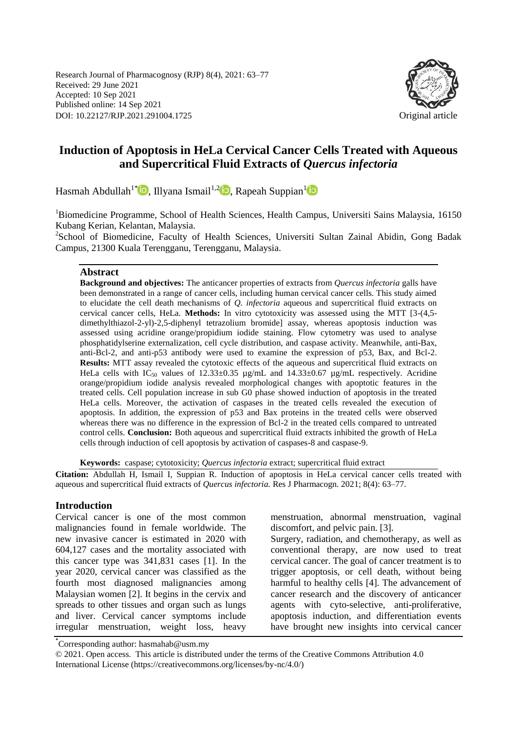Research Journal of Pharmacognosy (RJP) 8(4), 2021: 63–77 Received: 29 June 2021 Accepted: 10 Sep 2021 Published online: 14 Sep 2021 DOI: 10.22127/RJP.2021.291004.1725 Original article



# **Induction of Apoptosis in HeLa Cervical Cancer Cells Treated with Aqueous and Supercritical Fluid Extracts of** *Quercus infectoria*

Hasmah Abdullah<sup>[1](https://orcid.org/0000-0001-5808-7282)\*</sup> **D**[,](https://orcid.org/0000-0003-2550-0354) Illyana Ismail<sup>1,[2](https://orcid.org/0000-0003-4361-2835)</sup> **D**, Rapeah Suppian<sup>1</sup> **D** 

<sup>1</sup>Biomedicine Programme, School of Health Sciences, Health Campus, Universiti Sains Malaysia, 16150 Kubang Kerian, Kelantan, Malaysia.

<sup>2</sup>School of Biomedicine, Faculty of Health Sciences, Universiti Sultan Zainal Abidin, Gong Badak Campus, 21300 Kuala Terengganu, Terengganu, Malaysia.

#### **Abstract**

**Background and objectives:** The anticancer properties of extracts from *Quercus infectoria* galls have been demonstrated in a range of cancer cells, including human cervical cancer cells. This study aimed to elucidate the cell death mechanisms of *Q. infectoria* aqueous and supercritical fluid extracts on cervical cancer cells, HeLa. **Methods:** In vitro cytotoxicity was assessed using the MTT [3-(4,5 dimethylthiazol-2-yl)-2,5-diphenyl tetrazolium bromide] assay, whereas apoptosis induction was assessed using acridine orange/propidium iodide staining. Flow cytometry was used to analyse phosphatidylserine externalization, cell cycle distribution, and caspase activity. Meanwhile, anti-Bax, anti-Bcl-2, and anti-p53 antibody were used to examine the expression of p53, Bax, and Bcl-2. **Results:** MTT assay revealed the cytotoxic effects of the aqueous and supercritical fluid extracts on HeLa cells with IC<sub>50</sub> values of 12.33±0.35  $\mu$ g/mL and 14.33±0.67  $\mu$ g/mL respectively. Acridine orange/propidium iodide analysis revealed morphological changes with apoptotic features in the treated cells. Cell population increase in sub G0 phase showed induction of apoptosis in the treated HeLa cells. Moreover, the activation of caspases in the treated cells revealed the execution of apoptosis. In addition, the expression of p53 and Bax proteins in the treated cells were observed whereas there was no difference in the expression of Bcl-2 in the treated cells compared to untreated control cells. **Conclusion:** Both aqueous and supercritical fluid extracts inhibited the growth of HeLa cells through induction of cell apoptosis by activation of caspases-8 and caspase-9.

**Keywords:** caspase; cytotoxicity; *Quercus infectoria* extract; supercritical fluid extract

**Citation:** Abdullah H, Ismail I, Suppian R. Induction of apoptosis in HeLa cervical cancer cells treated with aqueous and supercritical fluid extracts of *Quercus infectoria.* Res J Pharmacogn. 2021; 8(4): 63–77.

#### **Introduction**

Cervical cancer is one of the most common malignancies found in female worldwide. The new invasive cancer is estimated in 2020 with 604,127 cases and the mortality associated with this cancer type was 341,831 cases [1]. In the year 2020, cervical cancer was classified as the fourth most diagnosed malignancies among Malaysian women [2]. It begins in the cervix and spreads to other tissues and organ such as lungs and liver. Cervical cancer symptoms include irregular menstruation, weight loss, heavy menstruation, abnormal menstruation, vaginal discomfort, and pelvic pain. [3].

Surgery, radiation, and chemotherapy, as well as conventional therapy, are now used to treat cervical cancer. The goal of cancer treatment is to trigger apoptosis, or cell death, without being harmful to healthy cells [4]. The advancement of cancer research and the discovery of anticancer agents with cyto-selective, anti-proliferative, apoptosis induction, and differentiation events have brought new insights into cervical cancer

<sup>\*</sup> Corresponding author: hasmahab@usm.my

<sup>© 2021.</sup> Open access. This article is distributed under the terms of the Creative Commons Attribution 4.0 International License (https://creativecommons.org/licenses/by-nc/4.0/)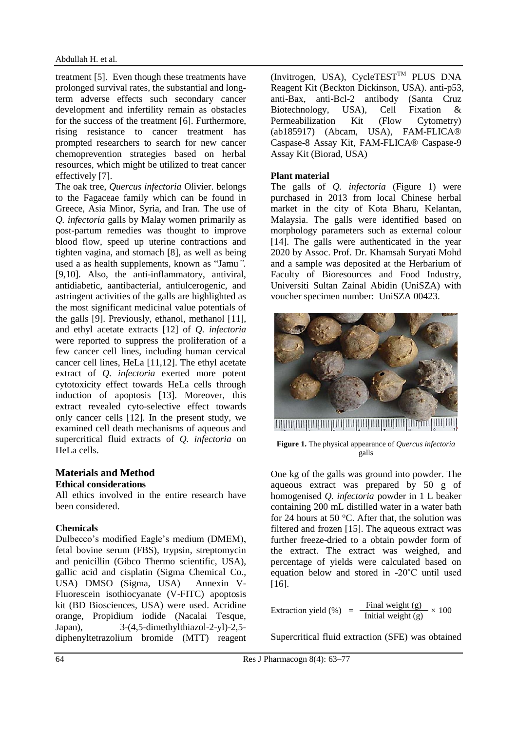treatment [5]. Even though these treatments have prolonged survival rates, the substantial and longterm adverse effects such secondary cancer development and infertility remain as obstacles for the success of the treatment [6]. Furthermore, rising resistance to cancer treatment has prompted researchers to search for new cancer chemoprevention strategies based on herbal resources, which might be utilized to treat cancer effectively [7].

The oak tree, *Quercus infectoria* Olivier. belongs to the Fagaceae family which can be found in Greece, Asia Minor, Syria, and Iran. The use of *Q. infectoria* galls by Malay women primarily as post-partum remedies was thought to improve blood flow, speed up uterine contractions and tighten vagina, and stomach [8], as well as being used a as health supplements, known as "Jamu*".* [9,10]. Also, the anti-inflammatory, antiviral, antidiabetic, aantibacterial, antiulcerogenic, and astringent activities of the galls are highlighted as the most significant medicinal value potentials of the galls [9]. Previously, ethanol, methanol [11], and ethyl acetate extracts [12] of *Q. infectoria* were reported to suppress the proliferation of a few cancer cell lines, including human cervical cancer cell lines, HeLa [11,12]. The ethyl acetate extract of *Q. infectoria* exerted more potent cytotoxicity effect towards HeLa cells through induction of apoptosis [13]. Moreover, this extract revealed cyto-selective effect towards only cancer cells [12]. In the present study, we examined cell death mechanisms of aqueous and supercritical fluid extracts of *Q. infectoria* on HeLa cells.

## **Materials and Method Ethical considerations**

All ethics involved in the entire research have been considered.

## **Chemicals**

Dulbecco's modified Eagle's medium (DMEM), fetal bovine serum (FBS), trypsin, streptomycin and penicillin (Gibco Thermo scientific, USA), gallic acid and cisplatin (Sigma Chemical Co., USA) DMSO (Sigma, USA) Annexin V-Fluorescein isothiocyanate (V-FITC) apoptosis kit (BD Biosciences, USA) were used. Acridine orange, Propidium iodide (Nacalai Tesque, Japan), 3-(4,5-dimethylthiazol-2-yl)-2,5 diphenyltetrazolium bromide (MTT) reagent (Invitrogen, USA), CycleTEST<sup>TM</sup> PLUS DNA Reagent Kit (Beckton Dickinson, USA). anti-p53, anti-Bax, anti-Bcl-2 antibody (Santa Cruz Biotechnology, USA), Cell Fixation & Permeabilization Kit (Flow Cytometry) (ab185917) (Abcam, USA), FAM-FLICA® Caspase-8 Assay Kit, FAM-FLICA® Caspase-9 Assay Kit (Biorad, USA)

## **Plant material**

The galls of *Q. infectoria* (Figure 1) were purchased in 2013 from local Chinese herbal market in the city of Kota Bharu, Kelantan, Malaysia. The galls were identified based on morphology parameters such as external colour [14]. The galls were authenticated in the year 2020 by Assoc. Prof. Dr. Khamsah Suryati Mohd and a sample was deposited at the Herbarium of Faculty of Bioresources and Food Industry, Universiti Sultan Zainal Abidin (UniSZA) with voucher specimen number: UniSZA 00423.



**THURBURGHUNDURGHUNDURGHUNDURGHUNDURGHUN** 

**Figure 1.** The physical appearance of *Quercus infectoria* galls

One kg of the galls was ground into powder. The aqueous extract was prepared by 50 g of homogenised *Q. infectoria* powder in 1 L beaker containing 200 mL distilled water in a water bath for 24 hours at 50 °C. After that, the solution was filtered and frozen [15]. The aqueous extract was further freeze-dried to a obtain powder form of the extract. The extract was weighed, and percentage of yields were calculated based on equation below and stored in -20˚C until used [16].

$$
Extraction yield (\%) = \frac{Final weight (g)}{Initial weight (g)} \times 100
$$

Supercritical fluid extraction (SFE) was obtained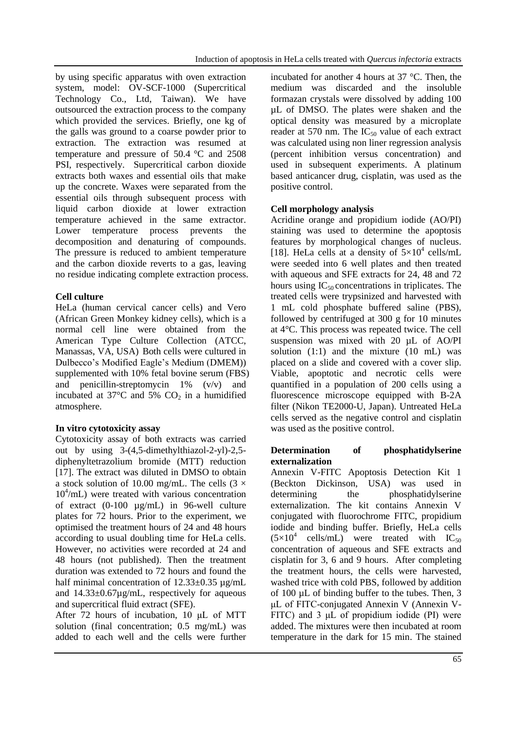by using specific apparatus with oven extraction system, model: OV-SCF-1000 (Supercritical Technology Co., Ltd, Taiwan). We have outsourced the extraction process to the company which provided the services. Briefly, one kg of the galls was ground to a coarse powder prior to extraction. The extraction was resumed at temperature and pressure of 50.4 °C and 2508 PSI, respectively. Supercritical carbon dioxide extracts both waxes and essential oils that make up the concrete. Waxes were separated from the essential oils through subsequent process with liquid carbon dioxide at lower extraction temperature achieved in the same extractor. Lower temperature process prevents the decomposition and denaturing of compounds. The pressure is reduced to ambient temperature and the carbon dioxide reverts to a gas, leaving no residue indicating complete extraction process.

## **Cell culture**

HeLa (human cervical cancer cells) and Vero (African Green Monkey kidney cells), which is a normal cell line were obtained from the American Type Culture Collection (ATCC, Manassas, VA, USA) Both cells were cultured in Dulbecco's Modified Eagle's Medium (DMEM)) supplemented with 10% fetal bovine serum (FBS) and penicillin-streptomycin 1% (v/v) and incubated at  $37^{\circ}$ C and  $5\%$  CO<sub>2</sub> in a humidified atmosphere.

## **In vitro cytotoxicity assay**

Cytotoxicity assay of both extracts was carried out by using 3-(4,5-dimethylthiazol-2-yl)-2,5 diphenyltetrazolium bromide (MTT) reduction [17]. The extract was diluted in DMSO to obtain a stock solution of 10.00 mg/mL. The cells  $(3 \times$ 10<sup>4</sup> /mL) were treated with various concentration of extract (0-100 µg/mL) in 96-well culture plates for 72 hours. Prior to the experiment, we optimised the treatment hours of 24 and 48 hours according to usual doubling time for HeLa cells. However, no activities were recorded at 24 and 48 hours (not published). Then the treatment duration was extended to 72 hours and found the half minimal concentration of  $12.33\pm0.35$   $\mu$ g/mL and 14.33±0.67µg/mL, respectively for aqueous and supercritical fluid extract (SFE).

After 72 hours of incubation, 10 μL of MTT solution (final concentration; 0.5 mg/mL) was added to each well and the cells were further incubated for another 4 hours at 37 °C. Then, the medium was discarded and the insoluble formazan crystals were dissolved by adding 100 µL of DMSO. The plates were shaken and the optical density was measured by a microplate reader at 570 nm. The  $IC_{50}$  value of each extract was calculated using non liner regression analysis (percent inhibition versus concentration) and used in subsequent experiments. A platinum based anticancer drug, cisplatin, was used as the positive control.

## **Cell morphology analysis**

Acridine orange and propidium iodide (AO/PI) staining was used to determine the apoptosis features by morphological changes of nucleus. [18]. HeLa cells at a density of  $5\times10^4$  cells/mL were seeded into 6 well plates and then treated with aqueous and SFE extracts for 24, 48 and 72 hours using  $IC_{50}$  concentrations in triplicates. The treated cells were trypsinized and harvested with 1 mL cold phosphate buffered saline (PBS), followed by centrifuged at 300 g for 10 minutes at 4°C. This process was repeated twice. The cell suspension was mixed with 20 µL of AO/PI solution  $(1:1)$  and the mixture  $(10 \text{ mL})$  was placed on a slide and covered with a cover slip. Viable, apoptotic and necrotic cells were quantified in a population of 200 cells using a fluorescence microscope equipped with B-2A filter (Nikon TE2000-U, Japan). Untreated HeLa cells served as the negative control and cisplatin was used as the positive control.

## **Determination of phosphatidylserine externalization**

Annexin V-FITC Apoptosis Detection Kit 1 (Beckton Dickinson, USA) was used in determining the phosphatidylserine externalization. The kit contains Annexin V conjugated with fluorochrome FITC, propidium iodide and binding buffer. Briefly, HeLa cells  $(5\times10^4 \text{ cells/mL})$  were treated with IC<sub>50</sub> concentration of aqueous and SFE extracts and cisplatin for 3, 6 and 9 hours. After completing the treatment hours, the cells were harvested, washed trice with cold PBS, followed by addition of 100 µL of binding buffer to the tubes. Then, 3 μL of FITC-conjugated Annexin V (Annexin V-FITC) and 3 μL of propidium iodide (PI) were added. The mixtures were then incubated at room temperature in the dark for 15 min. The stained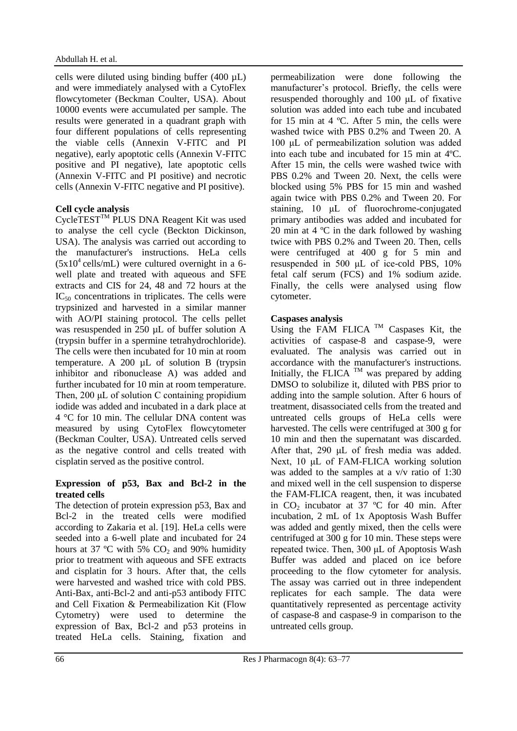cells were diluted using binding buffer  $(400 \mu L)$ and were immediately analysed with a CytoFlex flowcytometer (Beckman Coulter, USA). About 10000 events were accumulated per sample. The results were generated in a quadrant graph with four different populations of cells representing the viable cells (Annexin V-FITC and PI negative), early apoptotic cells (Annexin V-FITC positive and PI negative), late apoptotic cells (Annexin V-FITC and PI positive) and necrotic cells (Annexin V-FITC negative and PI positive).

## **Cell cycle analysis**

CycleTEST<sup>TM</sup> PLUS DNA Reagent Kit was used to analyse the cell cycle (Beckton Dickinson, USA). The analysis was carried out according to the manufacturer's instructions. HeLa cells  $(5x10^4 \text{ cells/mL})$  were cultured overnight in a 6well plate and treated with aqueous and SFE extracts and CIS for 24, 48 and 72 hours at the  $IC_{50}$  concentrations in triplicates. The cells were trypsinized and harvested in a similar manner with AO/PI staining protocol. The cells pellet was resuspended in 250 µL of buffer solution A (trypsin buffer in a spermine tetrahydrochloride). The cells were then incubated for 10 min at room temperature. A 200 µL of solution B (trypsin inhibitor and ribonuclease A) was added and further incubated for 10 min at room temperature. Then, 200 μL of solution C containing propidium iodide was added and incubated in a dark place at 4 °C for 10 min. The cellular DNA content was measured by using CytoFlex flowcytometer (Beckman Coulter, USA). Untreated cells served as the negative control and cells treated with cisplatin served as the positive control.

### **Expression of p53, Bax and Bcl-2 in the treated cells**

The detection of protein expression p53, Bax and Bcl-2 in the treated cells were modified according to Zakaria et al. [19]. HeLa cells were seeded into a 6-well plate and incubated for 24 hours at 37 °C with 5%  $CO<sub>2</sub>$  and 90% humidity prior to treatment with aqueous and SFE extracts and cisplatin for 3 hours. After that, the cells were harvested and washed trice with cold PBS. Anti-Bax, anti-Bcl-2 and anti-p53 antibody FITC and Cell Fixation & Permeabilization Kit (Flow Cytometry) were used to determine the expression of Bax, Bcl-2 and p53 proteins in treated HeLa cells. Staining, fixation and permeabilization were done following the manufacturer's protocol. Briefly, the cells were resuspended thoroughly and 100 μL of fixative solution was added into each tube and incubated for 15 min at 4 ºC. After 5 min, the cells were washed twice with PBS 0.2% and Tween 20. A 100 μL of permeabilization solution was added into each tube and incubated for 15 min at 4ºC. After 15 min, the cells were washed twice with PBS 0.2% and Tween 20. Next, the cells were blocked using 5% PBS for 15 min and washed again twice with PBS 0.2% and Tween 20. For staining, 10 μL of fluorochrome-conjugated primary antibodies was added and incubated for 20 min at 4 ºC in the dark followed by washing twice with PBS 0.2% and Tween 20. Then, cells were centrifuged at 400 g for 5 min and resuspended in 500 μL of ice-cold PBS, 10% fetal calf serum (FCS) and 1% sodium azide. Finally, the cells were analysed using flow cytometer.

## **Caspases analysis**

Using the FAM FLICA  $TM$  Caspases Kit, the activities of caspase-8 and caspase-9, were evaluated. The analysis was carried out in accordance with the manufacturer's instructions. Initially, the FLICA  $TM$  was prepared by adding DMSO to solubilize it, diluted with PBS prior to adding into the sample solution. After 6 hours of treatment, disassociated cells from the treated and untreated cells groups of HeLa cells were harvested. The cells were centrifuged at 300 g for 10 min and then the supernatant was discarded. After that, 290 μL of fresh media was added. Next, 10 μL of FAM-FLICA working solution was added to the samples at a v/v ratio of 1:30 and mixed well in the cell suspension to disperse the FAM-FLICA reagent, then, it was incubated in  $CO<sub>2</sub>$  incubator at 37 °C for 40 min. After incubation, 2 mL of 1x Apoptosis Wash Buffer was added and gently mixed, then the cells were centrifuged at 300 g for 10 min. These steps were repeated twice. Then, 300 μL of Apoptosis Wash Buffer was added and placed on ice before proceeding to the flow cytometer for analysis. The assay was carried out in three independent replicates for each sample. The data were quantitatively represented as percentage activity of caspase-8 and caspase-9 in comparison to the untreated cells group.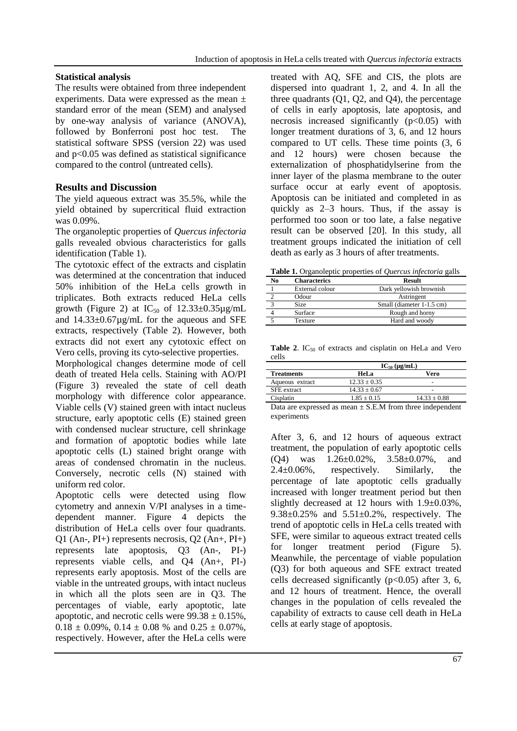## **Statistical analysis**

The results were obtained from three independent experiments. Data were expressed as the mean ± standard error of the mean (SEM) and analysed by one-way analysis of variance (ANOVA), followed by Bonferroni post hoc test. The statistical software SPSS (version 22) was used and p<0.05 was defined as statistical significance compared to the control (untreated cells).

## **Results and Discussion**

The yield aqueous extract was 35.5%, while the yield obtained by supercritical fluid extraction was 0.09%.

The organoleptic properties of *Quercus infectoria* galls revealed obvious characteristics for galls identification (Table 1).

The cytotoxic effect of the extracts and cisplatin was determined at the concentration that induced 50% inhibition of the HeLa cells growth in triplicates. Both extracts reduced HeLa cells growth (Figure 2) at  $IC_{50}$  of  $12.33\pm0.35\mu$ g/mL and 14.33±0.67µg/mL for the aqueous and SFE extracts, respectively (Table 2). However, both extracts did not exert any cytotoxic effect on Vero cells, proving its cyto-selective properties.

Morphological changes determine mode of cell death of treated Hela cells. Staining with AO/PI (Figure 3) revealed the state of cell death morphology with difference color appearance. Viable cells (V) stained green with intact nucleus structure, early apoptotic cells (E) stained green with condensed nuclear structure, cell shrinkage and formation of apoptotic bodies while late apoptotic cells (L) stained bright orange with areas of condensed chromatin in the nucleus. Conversely, necrotic cells (N) stained with uniform red color.

Apoptotic cells were detected using flow cytometry and annexin V/PI analyses in a timedependent manner. Figure 4 depicts the distribution of HeLa cells over four quadrants. Q1 (An-, PI+) represents necrosis, Q2 (An+, PI+) represents late apoptosis, Q3 (An-, PI-) represents viable cells, and Q4 (An+, PI-) represents early apoptosis. Most of the cells are viable in the untreated groups, with intact nucleus in which all the plots seen are in Q3. The percentages of viable, early apoptotic, late apoptotic, and necrotic cells were  $99.38 \pm 0.15\%$ .  $0.18 \pm 0.09\%$ ,  $0.14 \pm 0.08\%$  and  $0.25 \pm 0.07\%$ , respectively. However, after the HeLa cells were treated with AQ, SFE and CIS, the plots are dispersed into quadrant 1, 2, and 4. In all the three quadrants (Q1, Q2, and Q4), the percentage of cells in early apoptosis, late apoptosis, and necrosis increased significantly  $(p<0.05)$  with longer treatment durations of 3, 6, and 12 hours compared to UT cells. These time points (3, 6 and 12 hours) were chosen because the externalization of phosphatidylserine from the inner layer of the plasma membrane to the outer surface occur at early event of apoptosis. Apoptosis can be initiated and completed in as quickly as 2–3 hours. Thus, if the assay is performed too soon or too late, a false negative result can be observed [20]. In this study, all treatment groups indicated the initiation of cell death as early as 3 hours of after treatments.

**Table 1.** Organoleptic properties of *Quercus infectoria* galls

| N٥ | <b>Characterics</b> | <b>Result</b>             |
|----|---------------------|---------------------------|
|    | External colour     | Dark yellowish brownish   |
|    | Odour               | Astringent                |
|    | Size                | Small (diameter 1-1.5 cm) |
|    | Surface             | Rough and horny           |
|    | Texture             | Hard and woody            |

**Table 2.** IC $_{50}$  of extracts and cisplatin on HeLa and Vero cells

|                    | $IC_{50}$ (µg/mL) |                          |
|--------------------|-------------------|--------------------------|
| <b>Treatments</b>  | <b>HeLa</b>       | Vero                     |
| Aqueous extract    | $12.33 + 0.35$    | $\overline{\phantom{0}}$ |
| <b>SFE</b> extract | $14.33 + 0.67$    | $\overline{\phantom{a}}$ |
| Cisplatin          | $1.85 + 0.15$     | $14.33 + 0.88$           |

Data are expressed as mean  $\pm$  S.E.M from three independent experiments

After 3, 6, and 12 hours of aqueous extract treatment, the population of early apoptotic cells (Q4) was 1.26±0.02%, 3.58±0.07%, and 2.4±0.06%, respectively. Similarly, the percentage of late apoptotic cells gradually increased with longer treatment period but then slightly decreased at 12 hours with 1.9±0.03%, 9.38 $\pm$ 0.25% and 5.51 $\pm$ 0.2%, respectively. The trend of apoptotic cells in HeLa cells treated with SFE, were similar to aqueous extract treated cells for longer treatment period (Figure 5). Meanwhile, the percentage of viable population (Q3) for both aqueous and SFE extract treated cells decreased significantly  $(p<0.05)$  after 3, 6, and 12 hours of treatment. Hence, the overall changes in the population of cells revealed the capability of extracts to cause cell death in HeLa cells at early stage of apoptosis.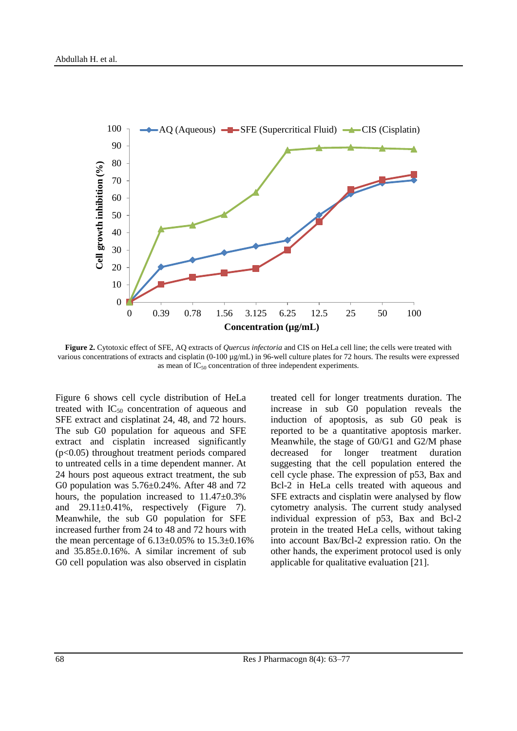

**Figure 2.** Cytotoxic effect of SFE, AQ extracts of *Quercus infectoria* and CIS on HeLa cell line; the cells were treated with various concentrations of extracts and cisplatin (0-100 µg/mL) in 96-well culture plates for 72 hours. The results were expressed as mean of  $IC_{50}$  concentration of three independent experiments.

Figure 6 shows cell cycle distribution of HeLa treated with  $IC_{50}$  concentration of aqueous and SFE extract and cisplatinat 24, 48, and 72 hours. The sub G0 population for aqueous and SFE extract and cisplatin increased significantly (p<0.05) throughout treatment periods compared to untreated cells in a time dependent manner. At 24 hours post aqueous extract treatment, the sub G0 population was 5.76±0.24%. After 48 and 72 hours, the population increased to 11.47±0.3% and  $29.11 \pm 0.41\%$ , respectively (Figure 7). Meanwhile, the sub G0 population for SFE increased further from 24 to 48 and 72 hours with the mean percentage of  $6.13 \pm 0.05\%$  to  $15.3 \pm 0.16\%$ and 35.85±.0.16%. A similar increment of sub G0 cell population was also observed in cisplatin

treated cell for longer treatments duration. The increase in sub G0 population reveals the induction of apoptosis, as sub G0 peak is reported to be a quantitative apoptosis marker. Meanwhile, the stage of G0/G1 and G2/M phase decreased for longer treatment duration suggesting that the cell population entered the cell cycle phase. The expression of p53, Bax and Bcl-2 in HeLa cells treated with aqueous and SFE extracts and cisplatin were analysed by flow cytometry analysis. The current study analysed individual expression of p53, Bax and Bcl-2 protein in the treated HeLa cells, without taking into account Bax/Bcl-2 expression ratio. On the other hands, the experiment protocol used is only applicable for qualitative evaluation [21].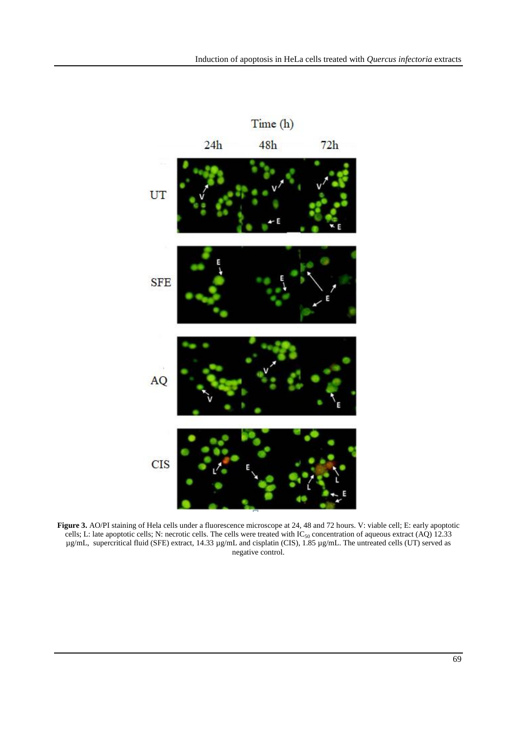

Figure 3. AO/PI staining of Hela cells under a fluorescence microscope at 24, 48 and 72 hours. V: viable cell; E: early apoptotic cells; L: late apoptotic cells; N: necrotic cells. The cells were treated with  $IC_{50}$  concentration of aqueous extract (AQ) 12.33 µg/mL, supercritical fluid (SFE) extract, 14.33 µg/mL and cisplatin (CIS), 1.85 µg/mL. The untreated cells (UT) served as negative control.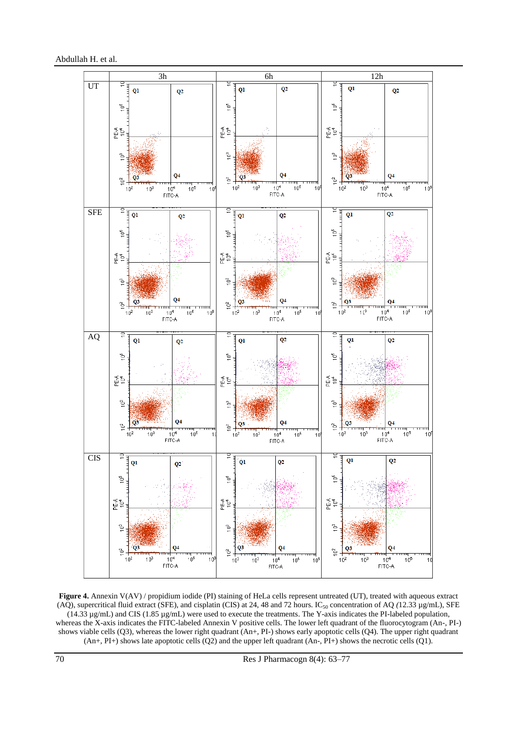

**Figure 4.** Annexin V(AV) / propidium iodide (PI) staining of HeLa cells represent untreated (UT), treated with aqueous extract (AQ), supercritical fluid extract (SFE), and cisplatin (CIS) at 24, 48 and 72 hours. IC<sub>50</sub> concentration of AQ  $(12.33 \mu g/mL)$ , SFE (14.33 µg/mL) and CIS (1.85 µg/mL) were used to execute the treatments. The Y-axis indicates the PI-labeled population, whereas the X-axis indicates the FITC-labeled Annexin V positive cells. The lower left quadrant of the fluorocytogram (An-, PI-) shows viable cells (Q3), whereas the lower right quadrant (An+, PI-) shows early apoptotic cells (Q4). The upper right quadrant  $(An+$ , PI+) shows late apoptotic cells  $(Q2)$  and the upper left quadrant  $(An-$ , PI+) shows the necrotic cells  $(Q1)$ .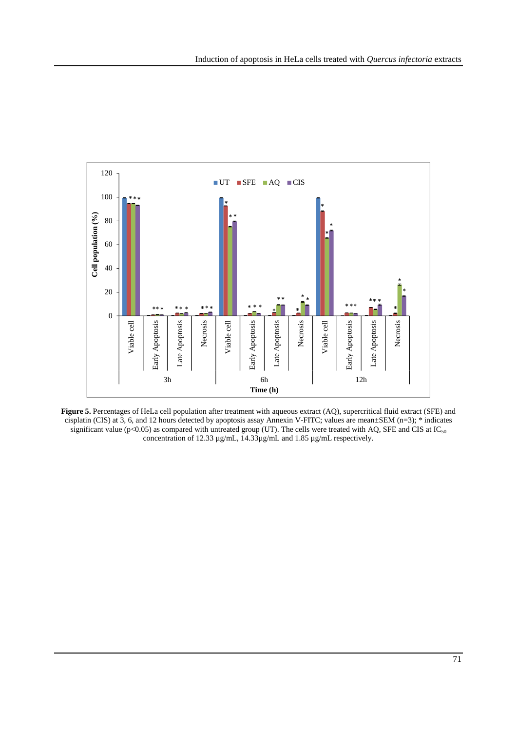

**Figure 5.** Percentages of HeLa cell population after treatment with aqueous extract (AQ), supercritical fluid extract (SFE) and cisplatin (CIS) at 3, 6, and 12 hours detected by apoptosis assay Annexin V-FITC; values are mean±SEM (n=3); \* indicates significant value (p<0.05) as compared with untreated group (UT). The cells were treated with AQ, SFE and CIS at  $IC_{50}$ concentration of 12.33 µg/mL, 14.33µg/mL and 1.85 µg/mL respectively.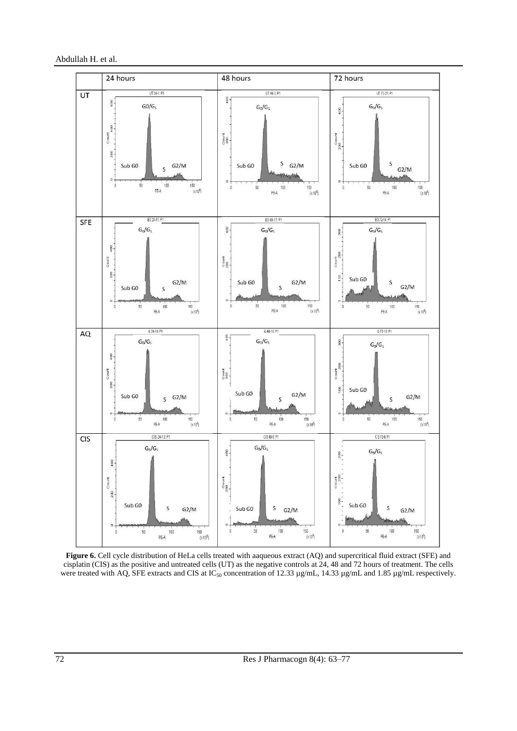

Figure 6. Cell cycle distribution of HeLa cells treated with aaqueous extract (AQ) and supercritical fluid extract (SFE) and cisplatin (CIS) as the positive and untreated cells (UT) as the negative controls at 24, 48 and 72 hours of treatment. The cells were treated with AQ, SFE extracts and CIS at IC<sub>50</sub> concentration of 12.33 µg/mL, 14.33 µg/mL and 1.85 µg/mL respectively.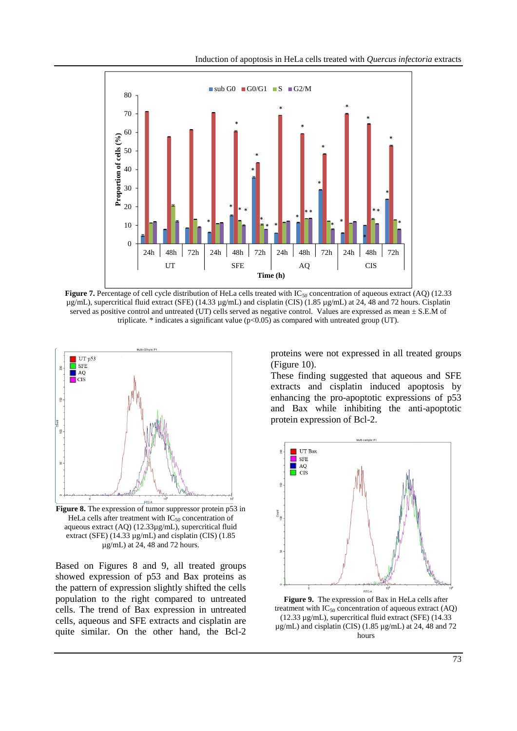

**Figure 7.** Percentage of cell cycle distribution of HeLa cells treated with IC<sub>50</sub> concentration of aqueous extract (AQ) (12.33 µg/mL), supercritical fluid extract (SFE) (14.33 µg/mL) and cisplatin (CIS) (1.85 µg/mL) at 24, 48 and 72 hours. Cisplatin served as positive control and untreated (UT) cells served as negative control. Values are expressed as mean  $\pm$  S.E.M of triplicate.  $*$  indicates a significant value ( $p<0.05$ ) as compared with untreated group (UT).



**Figure 8.** The expression of tumor suppressor protein p53 in HeLa cells after treatment with  $IC_{50}$  concentration of aqueous extract (AQ) (12.33µg/mL), supercritical fluid extract (SFE) (14.33 µg/mL) and cisplatin (CIS) (1.85 µg/mL) at 24, 48 and 72 hours.

Based on Figures 8 and 9, all treated groups showed expression of p53 and Bax proteins as the pattern of expression slightly shifted the cells population to the right compared to untreated cells. The trend of Bax expression in untreated cells, aqueous and SFE extracts and cisplatin are quite similar. On the other hand, the Bcl-2 proteins were not expressed in all treated groups (Figure 10).

These finding suggested that aqueous and SFE extracts and cisplatin induced apoptosis by enhancing the pro-apoptotic expressions of p53 and Bax while inhibiting the anti-apoptotic protein expression of Bcl-2.



**Figure 9.** The expression of Bax in HeLa cells after treatment with  $IC_{50}$  concentration of aqueous extract  $(AQ)$ (12.33 µg/mL), supercritical fluid extract (SFE) (14.33  $\mu$ g/mL) and cisplatin (CIS) (1.85  $\mu$ g/mL) at 24, 48 and 72 hours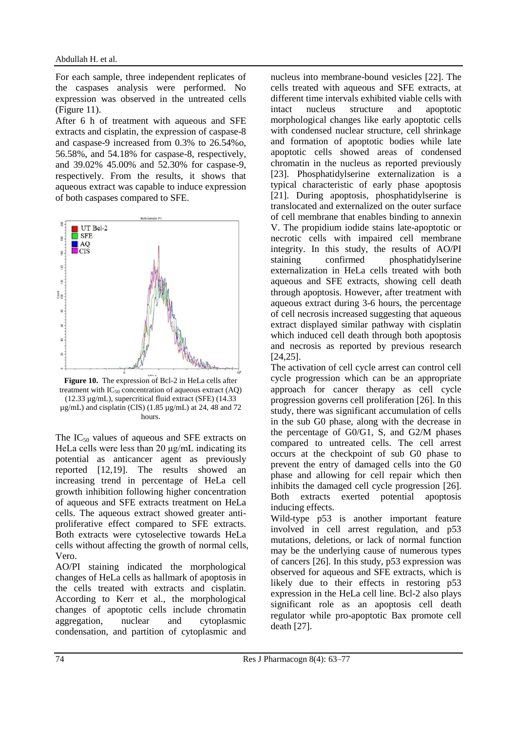For each sample, three independent replicates of the caspases analysis were performed. No expression was observed in the untreated cells (Figure 11).

After 6 h of treatment with aqueous and SFE extracts and cisplatin, the expression of caspase-8 and caspase-9 increased from 0.3% to 26.54%o, 56.58%, and 54.18% for caspase-8, respectively, and 39.02% 45.00% and 52.30% for caspase-9, respectively. From the results, it shows that aqueous extract was capable to induce expression of both caspases compared to SFE.



**Figure 10.** The expression of Bcl-2 in HeLa cells after treatment with  $IC_{50}$  concentration of aqueous extract (AQ) (12.33 µg/mL), supercritical fluid extract (SFE) (14.33  $\mu$ g/mL) and cisplatin (CIS) (1.85  $\mu$ g/mL) at 24, 48 and 72 hours.

The  $IC_{50}$  values of aqueous and SFE extracts on HeLa cells were less than 20 μg/mL indicating its potential as anticancer agent as previously reported [12,19]. The results showed an increasing trend in percentage of HeLa cell growth inhibition following higher concentration of aqueous and SFE extracts treatment on HeLa cells. The aqueous extract showed greater antiproliferative effect compared to SFE extracts. Both extracts were cytoselective towards HeLa cells without affecting the growth of normal cells, Vero.

AO/PI staining indicated the morphological changes of HeLa cells as hallmark of apoptosis in the cells treated with extracts and cisplatin. According to Kerr et al., the morphological changes of apoptotic cells include chromatin aggregation, nuclear and cytoplasmic condensation, and partition of cytoplasmic and nucleus into membrane-bound vesicles [22]. The cells treated with aqueous and SFE extracts, at different time intervals exhibited viable cells with intact nucleus structure and apoptotic morphological changes like early apoptotic cells with condensed nuclear structure, cell shrinkage and formation of apoptotic bodies while late apoptotic cells showed areas of condensed chromatin in the nucleus as reported previously [23]. Phosphatidylserine externalization is a typical characteristic of early phase apoptosis [21]. During apoptosis, phosphatidylserine is translocated and externalized on the outer surface of cell membrane that enables binding to annexin V. The propidium iodide stains late-apoptotic or necrotic cells with impaired cell membrane integrity. In this study, the results of AO/PI staining confirmed phosphatidylserine externalization in HeLa cells treated with both aqueous and SFE extracts, showing cell death through apoptosis. However, after treatment with aqueous extract during 3-6 hours, the percentage of cell necrosis increased suggesting that aqueous extract displayed similar pathway with cisplatin which induced cell death through both apoptosis and necrosis as reported by previous research [24,25].

The activation of cell cycle arrest can control cell cycle progression which can be an appropriate approach for cancer therapy as cell cycle progression governs cell proliferation [26]. In this study, there was significant accumulation of cells in the sub G0 phase, along with the decrease in the percentage of G0/G1, S, and G2/M phases compared to untreated cells. The cell arrest occurs at the checkpoint of sub G0 phase to prevent the entry of damaged cells into the G0 phase and allowing for cell repair which then inhibits the damaged cell cycle progression [26]. Both extracts exerted potential apoptosis inducing effects.

Wild-type  $p53$  is another important feature involved in cell arrest regulation, and p53 mutations, deletions, or lack of normal function may be the underlying cause of numerous types of cancers [26]. In this study, p53 expression was observed for aqueous and SFE extracts, which is likely due to their effects in restoring p53 expression in the HeLa cell line. Bcl-2 also plays significant role as an apoptosis cell death regulator while pro-apoptotic Bax promote cell death [27].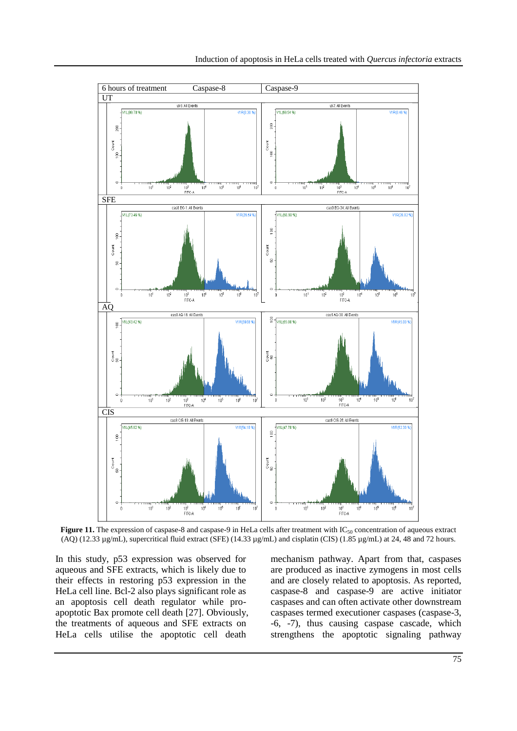

**Figure 11.** The expression of caspase-8 and caspase-9 in HeLa cells after treatment with  $IC_{50}$  concentration of aqueous extract (AQ) (12.33 µg/mL), supercritical fluid extract (SFE) (14.33 µg/mL) and cisplatin (CIS) (1.85 µg/mL) at 24, 48 and 72 hours.

In this study, p53 expression was observed for aqueous and SFE extracts, which is likely due to their effects in restoring p53 expression in the HeLa cell line. Bcl-2 also plays significant role as an apoptosis cell death regulator while proapoptotic Bax promote cell death [27]. Obviously, the treatments of aqueous and SFE extracts on HeLa cells utilise the apoptotic cell death

mechanism pathway. Apart from that, caspases are produced as inactive zymogens in most cells and are closely related to apoptosis. As reported, caspase-8 and caspase-9 are active initiator caspases and can often activate other downstream caspases termed executioner caspases (caspase-3, -6, -7), thus causing caspase cascade, which strengthens the apoptotic signaling pathway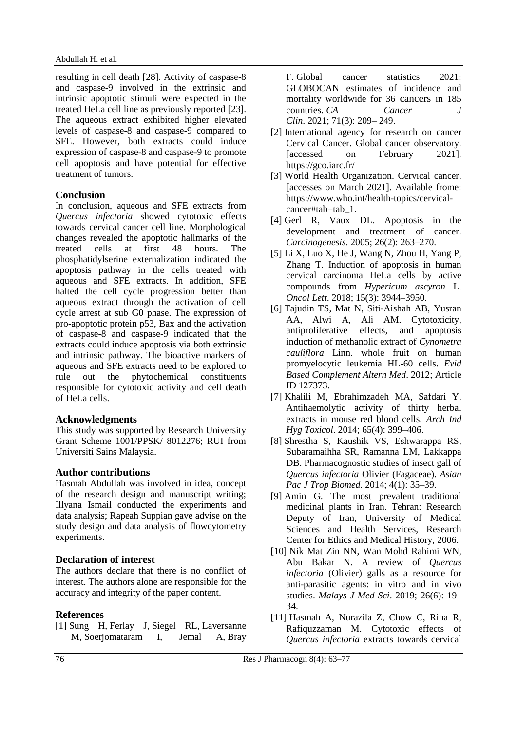resulting in cell death [28]. Activity of caspase-8 and caspase-9 involved in the extrinsic and intrinsic apoptotic stimuli were expected in the treated HeLa cell line as previously reported [23]. The aqueous extract exhibited higher elevated levels of caspase-8 and caspase-9 compared to SFE. However, both extracts could induce expression of caspase-8 and caspase-9 to promote cell apoptosis and have potential for effective treatment of tumors.

## **Conclusion**

In conclusion, aqueous and SFE extracts from *Quercus infectoria* showed cytotoxic effects towards cervical cancer cell line. Morphological changes revealed the apoptotic hallmarks of the treated cells at first 48 hours. The phosphatidylserine externalization indicated the apoptosis pathway in the cells treated with aqueous and SFE extracts. In addition, SFE halted the cell cycle progression better than aqueous extract through the activation of cell cycle arrest at sub G0 phase. The expression of pro-apoptotic protein p53, Bax and the activation of caspase-8 and caspase-9 indicated that the extracts could induce apoptosis via both extrinsic and intrinsic pathway. The bioactive markers of aqueous and SFE extracts need to be explored to rule out the phytochemical constituents responsible for cytotoxic activity and cell death of HeLa cells.

## **Acknowledgments**

This study was supported by Research University Grant Scheme 1001/PPSK/ 8012276; RUI from Universiti Sains Malaysia.

## **Author contributions**

Hasmah Abdullah was involved in idea, concept of the research design and manuscript writing; Illyana Ismail conducted the experiments and data analysis; Rapeah Suppian gave advise on the study design and data analysis of flowcytometry experiments.

## **Declaration of interest**

The authors declare that there is no conflict of interest. The authors alone are responsible for the accuracy and integrity of the paper content.

## **References**

[1] Sung H, Ferlay J, Siegel RL, Laversanne M, Soerjomataram I, Jemal A, Bray F. Global cancer statistics 2021: GLOBOCAN estimates of incidence and mortality worldwide for 36 cancers in 185 countries. *CA Cancer J Clin*. 2021; 71(3): 209– 249.

- [2] International agency for research on cancer Cervical Cancer. Global cancer observatory. [accessed on February 2021]. https://gco.iarc.fr/
- [3] World Health Organization. Cervical cancer. [accesses on March 2021]. Available frome: https://www.who.int/health-topics/cervicalcancer#tab=tab 1.
- [4] Gerl R, Vaux DL. Apoptosis in the development and treatment of cancer. *Carcinogenesis*. 2005; 26(2): 263–270.
- [5] Li X, Luo X, He J, Wang N, Zhou H, Yang P, Zhang T. Induction of apoptosis in human cervical carcinoma HeLa cells by active compounds from *Hypericum ascyron* L. *Oncol Lett*. 2018; 15(3): 3944–3950.
- [6] Tajudin TS, Mat N, Siti-Aishah AB, Yusran AA, Alwi A, Ali AM. Cytotoxicity, antiproliferative effects, and apoptosis induction of methanolic extract of *Cynometra cauliflora* Linn. whole fruit on human promyelocytic leukemia HL-60 cells. *Evid Based Complement Altern Med*. 2012; Article ID 127373.
- [7] Khalili M, Ebrahimzadeh MA, Safdari Y. Antihaemolytic activity of thirty herbal extracts in mouse red blood cells. *Arch Ind Hyg Toxicol*. 2014; 65(4): 399–406.
- [8] Shrestha S, Kaushik VS, Eshwarappa RS, Subaramaihha SR, Ramanna LM, Lakkappa DB. Pharmacognostic studies of insect gall of *Quercus infectoria* Olivier (Fagaceae). *Asian Pac J Trop Biomed*. 2014; 4(1): 35–39.
- [9] Amin G. The most prevalent traditional medicinal plants in Iran. Tehran: Research Deputy of Iran, University of Medical Sciences and Health Services, Research Center for Ethics and Medical History, 2006.
- [10] Nik Mat Zin NN, Wan Mohd Rahimi WN, Abu Bakar N. A review of *Quercus infectoria* (Olivier) galls as a resource for anti-parasitic agents: in vitro and in vivo studies. *Malays J Med Sci*. 2019; 26(6): 19– 34.
- [11] Hasmah A, Nurazila Z, Chow C, Rina R, Rafiquzzaman M. Cytotoxic effects of *Quercus infectoria* extracts towards cervical